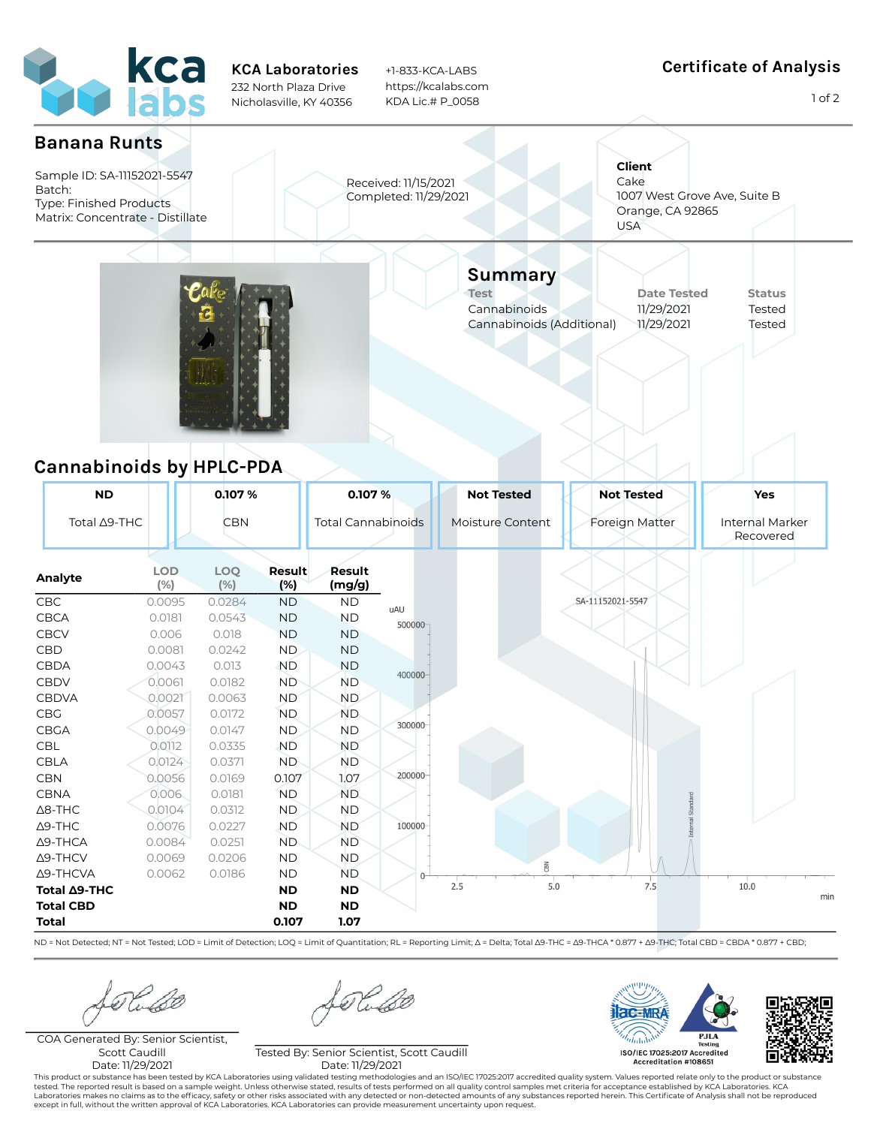

KCA Laboratories 232 North Plaza Drive Nicholasville, KY 40356

+1-833-KCA-LABS https://kcalabs.com KDA Lic.# P\_0058

## Certificate of Analysis

1 of 2



ND = Not Detected; NT = Not Tested; LOD = Limit of Detection; LOQ = Limit of Quantitation; RL = Reporting Limit; Δ = Delta; Total 39-THC = Δ9-THCA \* 0.877 + Δ9-THC; Total CBD = CBDA \* 0.877 + C9D;

COA Generated By: Senior Scientist, Scott Caudill Date: 11/29/2021

Kube

Tested By: Senior Scientist, Scott Caudill Date: 11/29/2021

acaMR ISO/IEC 17025:2017 Accredited Accreditation #108651

This product or substance has been tested by KCA Laboratories using validated testing methodologies and an ISO/IEC 17025:2017 accredited quality system. Values reported relate only to the product or substance tested. The reported result is based on a sample weight. Unless otherwise stated, results of tests performed on all quality control samples met criteria for acceptance established by KCA Laboratories. KCA<br>Laboratories make except in full, without the written approval of KCA Laboratories. KCA Laboratories can provide measurement uncertainty upon request.